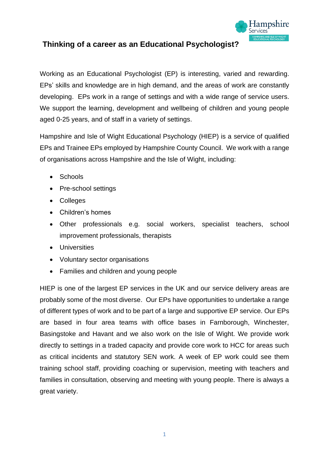

## **Thinking of a career as an Educational Psychologist?**

Working as an Educational Psychologist (EP) is interesting, varied and rewarding. EPs' skills and knowledge are in high demand, and the areas of work are constantly developing. EPs work in a range of settings and with a wide range of service users. We support the learning, development and wellbeing of children and young people aged 0-25 years, and of staff in a variety of settings.

Hampshire and Isle of Wight Educational Psychology (HIEP) is a service of qualified EPs and Trainee EPs employed by Hampshire County Council. We work with a range of organisations across Hampshire and the Isle of Wight, including:

- Schools
- Pre-school settings
- Colleges
- Children's homes
- Other professionals e.g. social workers, specialist teachers, school improvement professionals, therapists
- Universities
- Voluntary sector organisations
- Families and children and young people

HIEP is one of the largest EP services in the UK and our service delivery areas are probably some of the most diverse. Our EPs have opportunities to undertake a range of different types of work and to be part of a large and supportive EP service. Our EPs are based in four area teams with office bases in Farnborough, Winchester, Basingstoke and Havant and we also work on the Isle of Wight. We provide work directly to settings in a traded capacity and provide core work to HCC for areas such as critical incidents and statutory SEN work. A week of EP work could see them training school staff, providing coaching or supervision, meeting with teachers and families in consultation, observing and meeting with young people. There is always a great variety.